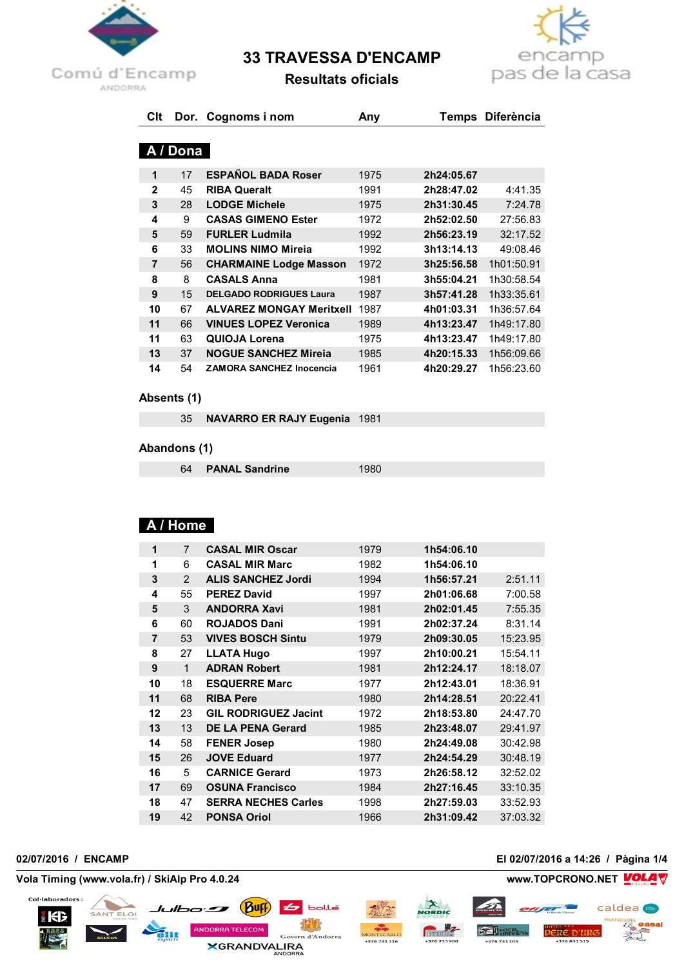

# **33 TRAVESSA D'ENCAMP**



**Resultats oficials**

| Clt            |          | Dor. Cognoms i nom              | Any  | Temps      | <b>Diferència</b> |  |  |
|----------------|----------|---------------------------------|------|------------|-------------------|--|--|
|                |          |                                 |      |            |                   |  |  |
|                | A / Dona |                                 |      |            |                   |  |  |
| 1              | 17       | <b>ESPAÑOL BADA Roser</b>       | 1975 | 2h24:05.67 |                   |  |  |
| $\overline{2}$ | 45       | <b>RIBA Queralt</b>             | 1991 | 2h28:47.02 | 4:41.35           |  |  |
| 3              | 28       | <b>LODGE Michele</b>            | 1975 | 2h31:30.45 | 7:24.78           |  |  |
| 4              | 9        | <b>CASAS GIMENO Ester</b>       | 1972 | 2h52:02.50 | 27:56.83          |  |  |
| 5              | 59       | <b>FURLER Ludmila</b>           | 1992 | 2h56:23.19 | 32:17.52          |  |  |
| 6              | 33       | <b>MOLINS NIMO Mireja</b>       | 1992 | 3h13:14.13 | 49:08.46          |  |  |
| 7              | 56       | <b>CHARMAINE Lodge Masson</b>   | 1972 | 3h25:56.58 | 1h01:50.91        |  |  |
| 8              | 8        | <b>CASALS Anna</b>              | 1981 | 3h55:04.21 | 1h30:58.54        |  |  |
| 9              | 15       | <b>DELGADO RODRIGUES Laura</b>  | 1987 | 3h57:41.28 | 1h33:35.61        |  |  |
| 10             | 67       | <b>ALVAREZ MONGAY Meritxell</b> | 1987 | 4h01:03.31 | 1h36:57.64        |  |  |
| 11             | 66       | <b>VINUES LOPEZ Veronica</b>    | 1989 | 4h13:23.47 | 1h49:17.80        |  |  |
| 11             | 63       | QUIOJA Lorena                   | 1975 | 4h13:23.47 | 1h49:17.80        |  |  |
| 13             | 37       | <b>NOGUE SANCHEZ Mireja</b>     | 1985 | 4h20:15.33 | 1h56:09.66        |  |  |
| 14             | 54       | <b>ZAMORA SANCHEZ Inocencia</b> | 1961 | 4h20:29.27 | 1h56:23.60        |  |  |

### **Absents (1)**

**NAVARRO ER RAJY Eugenia** 1981

### **Abandons (1)**

**PANAL Sandrine** 1980

# **A / Home**

| 1  | $\overline{7}$ | <b>CASAL MIR Oscar</b>      | 1979 | 1h54:06.10 |          |
|----|----------------|-----------------------------|------|------------|----------|
| 1  | 6              | <b>CASAL MIR Marc</b>       | 1982 | 1h54:06.10 |          |
| 3  | 2              | <b>ALIS SANCHEZ Jordi</b>   | 1994 | 1h56:57.21 | 2:51.11  |
| 4  | 55             | <b>PEREZ David</b>          | 1997 | 2h01:06.68 | 7:00.58  |
| 5  | 3              | <b>ANDORRA Xavi</b>         | 1981 | 2h02:01.45 | 7:55.35  |
| 6  | 60             | <b>ROJADOS Dani</b>         | 1991 | 2h02:37.24 | 8:31.14  |
| 7  | 53             | <b>VIVES BOSCH Sintu</b>    | 1979 | 2h09:30.05 | 15:23.95 |
| 8  | 27             | <b>LLATA Hugo</b>           | 1997 | 2h10:00.21 | 15:54.11 |
| 9  | 1              | <b>ADRAN Robert</b>         | 1981 | 2h12:24.17 | 18:18.07 |
| 10 | 18             | <b>ESQUERRE Marc</b>        | 1977 | 2h12:43.01 | 18:36.91 |
| 11 | 68             | <b>RIBA Pere</b>            | 1980 | 2h14:28.51 | 20:22.41 |
| 12 | 23             | <b>GIL RODRIGUEZ Jacint</b> | 1972 | 2h18:53.80 | 24:47.70 |
| 13 | 13             | <b>DE LA PENA Gerard</b>    | 1985 | 2h23:48.07 | 29:41.97 |
| 14 | 58             | <b>FENER Josep</b>          | 1980 | 2h24:49.08 | 30:42.98 |
| 15 | 26             | <b>JOVE Eduard</b>          | 1977 | 2h24:54.29 | 30:48.19 |
| 16 | 5              | <b>CARNICE Gerard</b>       | 1973 | 2h26:58.12 | 32:52.02 |
| 17 | 69             | <b>OSUNA Francisco</b>      | 1984 | 2h27:16.45 | 33:10.35 |
| 18 | 47             | <b>SERRA NECHES Carles</b>  | 1998 | 2h27:59.03 | 33:52.93 |
| 19 | 42             | <b>PONSA Oriol</b>          | 1966 | 2h31:09.42 | 37:03.32 |
|    |                |                             |      |            |          |

Col·laboradors:

KB

**ELOI** 

*Julbo Buff* 

NNDORRA TELECOM

### **02/07/2016 / ENCAMP El 02/07/2016 a 14:26 / Pàgina 1/4**

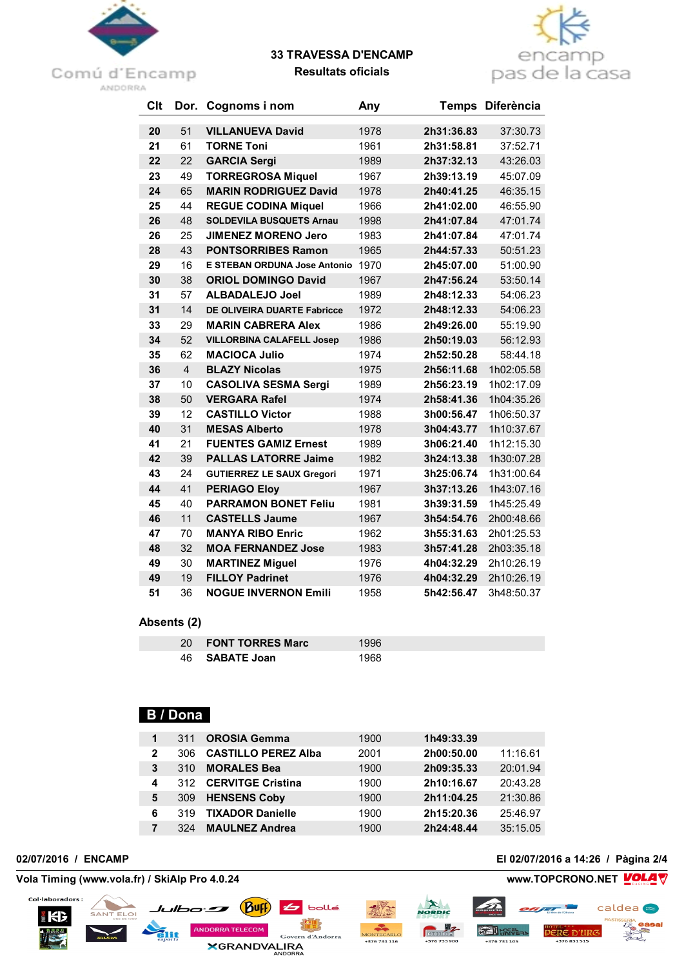

# **33 TRAVESSA D'ENCAMP**



**Resultats oficials**

| Clt | Dor.           | Cognoms i nom                       | Any  | <b>Temps</b> | <b>Diferència</b> |
|-----|----------------|-------------------------------------|------|--------------|-------------------|
| 20  | 51             | <b>VILLANUEVA David</b>             | 1978 | 2h31:36.83   | 37:30.73          |
| 21  | 61             | <b>TORNE Toni</b>                   | 1961 | 2h31:58.81   | 37:52.71          |
| 22  | 22             | <b>GARCIA Sergi</b>                 | 1989 | 2h37:32.13   | 43:26.03          |
| 23  | 49             | <b>TORREGROSA Miquel</b>            | 1967 | 2h39:13.19   | 45:07.09          |
| 24  | 65             | <b>MARIN RODRIGUEZ David</b>        | 1978 | 2h40:41.25   | 46:35.15          |
| 25  | 44             | <b>REGUE CODINA Miquel</b>          | 1966 | 2h41:02.00   | 46:55.90          |
| 26  | 48             | <b>SOLDEVILA BUSQUETS Arnau</b>     | 1998 | 2h41:07.84   | 47:01.74          |
| 26  | 25             | <b>JIMENEZ MORENO Jero</b>          | 1983 | 2h41:07.84   | 47:01.74          |
| 28  | 43             | <b>PONTSORRIBES Ramon</b>           | 1965 | 2h44:57.33   | 50:51.23          |
| 29  | 16             | <b>E STEBAN ORDUNA Jose Antonio</b> | 1970 | 2h45:07.00   | 51:00.90          |
| 30  | 38             | <b>ORIOL DOMINGO David</b>          | 1967 | 2h47:56.24   | 53:50.14          |
| 31  | 57             | <b>ALBADALEJO Joel</b>              | 1989 | 2h48:12.33   | 54:06.23          |
| 31  | 14             | <b>DE OLIVEIRA DUARTE Fabricce</b>  | 1972 | 2h48:12.33   | 54:06.23          |
| 33  | 29             | <b>MARIN CABRERA Alex</b>           | 1986 | 2h49:26.00   | 55:19.90          |
| 34  | 52             | <b>VILLORBINA CALAFELL Josep</b>    | 1986 | 2h50:19.03   | 56:12.93          |
| 35  | 62             | <b>MACIOCA Julio</b>                | 1974 | 2h52:50.28   | 58:44.18          |
| 36  | $\overline{4}$ | <b>BLAZY Nicolas</b>                | 1975 | 2h56:11.68   | 1h02:05.58        |
| 37  | 10             | <b>CASOLIVA SESMA Sergi</b>         | 1989 | 2h56:23.19   | 1h02:17.09        |
| 38  | 50             | <b>VERGARA Rafel</b>                | 1974 | 2h58:41.36   | 1h04:35.26        |
| 39  | 12             | <b>CASTILLO Victor</b>              | 1988 | 3h00:56.47   | 1h06:50.37        |
| 40  | 31             | <b>MESAS Alberto</b>                | 1978 | 3h04:43.77   | 1h10:37.67        |
| 41  | 21             | <b>FUENTES GAMIZ Ernest</b>         | 1989 | 3h06:21.40   | 1h12:15.30        |
| 42  | 39             | <b>PALLAS LATORRE Jaime</b>         | 1982 | 3h24:13.38   | 1h30:07.28        |
| 43  | 24             | <b>GUTIERREZ LE SAUX Gregori</b>    | 1971 | 3h25:06.74   | 1h31:00.64        |
| 44  | 41             | <b>PERIAGO Eloy</b>                 | 1967 | 3h37:13.26   | 1h43:07.16        |
| 45  | 40             | <b>PARRAMON BONET Feliu</b>         | 1981 | 3h39:31.59   | 1h45:25.49        |
| 46  | 11             | <b>CASTELLS Jaume</b>               | 1967 | 3h54:54.76   | 2h00:48.66        |
| 47  | 70             | <b>MANYA RIBO Enric</b>             | 1962 | 3h55:31.63   | 2h01:25.53        |
| 48  | 32             | <b>MOA FERNANDEZ Jose</b>           | 1983 | 3h57:41.28   | 2h03:35.18        |
| 49  | 30             | <b>MARTINEZ Miguel</b>              | 1976 | 4h04:32.29   | 2h10:26.19        |
| 49  | 19             | <b>FILLOY Padrinet</b>              | 1976 | 4h04:32.29   | 2h10:26.19        |
| 51  | 36             | <b>NOGUE INVERNON Emili</b>         | 1958 | 5h42:56.47   | 3h48:50.37        |

### **Absents (2)**

| 20 FONT TORRES Marc   | 996 |  |
|-----------------------|-----|--|
| 46 <b>SABATE Joan</b> | 968 |  |

# **B / Dona**

Julbo **Duff** 

ANDORRA TELECOM

**XGRANDVALIRA** 

| 1 | 311  | <b>OROSIA Gemma</b>        | 1900 | 1h49:33.39 |          |
|---|------|----------------------------|------|------------|----------|
| 2 | 306. | <b>CASTILLO PEREZ Alba</b> | 2001 | 2h00:50.00 | 11:16.61 |
| 3 | 310  | <b>MORALES Bea</b>         | 1900 | 2h09:35.33 | 20:01.94 |
| 4 |      | 312 CERVITGE Cristina      | 1900 | 2h10:16.67 | 20:43.28 |
| 5 | 309  | <b>HENSENS Coby</b>        | 1900 | 2h11:04.25 | 21:30.86 |
| 6 | 319  | <b>TIXADOR Danielle</b>    | 1900 | 2h15:20.36 | 25:46.97 |
|   | 324  | <b>MAULNEZ Andrea</b>      | 1900 | 2h24:48.44 | 35:15.05 |

6 bollé

Govern d'Andorra

Col·laboradors:

КB

**Vola Timing (www.vola.fr) / SkiAlp Pro 4.0.24 www.TOPCRONO.NET** 

SANT ELOI



caldea<sup>®</sup>

**PERE D'URG** 

**GRU** LRIVE-15

+376 731 105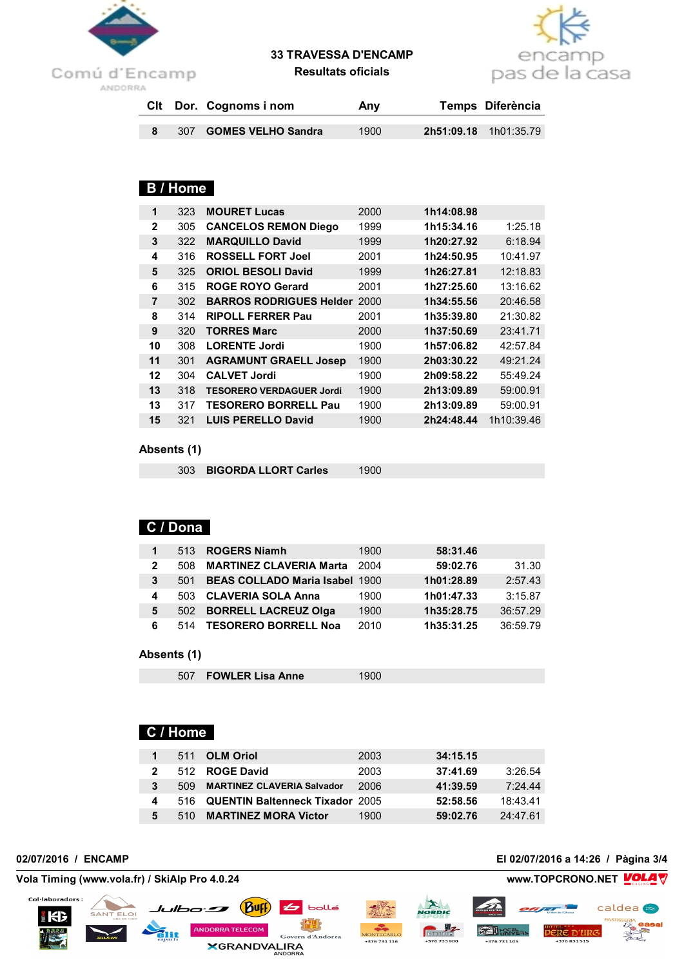

# **33 TRAVESSA D'ENCAMP**



**Resultats oficials**

|  | Cit Dor. Cognoms i nom | Any  | Temps Diferència             |
|--|------------------------|------|------------------------------|
|  | 307 GOMES VELHO Sandra | 1900 | <b>2h51:09.18</b> 1h01:35.79 |

# **B / Home**

| 1            | 323 | <b>MOURET Lucas</b>             | 2000 | 1h14:08.98 |            |
|--------------|-----|---------------------------------|------|------------|------------|
| $\mathbf{2}$ | 305 | <b>CANCELOS REMON Diego</b>     | 1999 | 1h15:34.16 | 1:25.18    |
| 3            | 322 | <b>MARQUILLO David</b>          | 1999 | 1h20:27.92 | 6:18.94    |
| 4            | 316 | <b>ROSSELL FORT Joel</b>        | 2001 | 1h24:50.95 | 10:41.97   |
| 5            | 325 | <b>ORIOL BESOLI David</b>       | 1999 | 1h26:27.81 | 12:18.83   |
| 6            | 315 | <b>ROGE ROYO Gerard</b>         | 2001 | 1h27:25.60 | 13:16.62   |
| 7            | 302 | <b>BARROS RODRIGUES Helder</b>  | 2000 | 1h34:55.56 | 20:46.58   |
| 8            | 314 | <b>RIPOLL FERRER Pau</b>        | 2001 | 1h35:39.80 | 21:30.82   |
| 9            | 320 | <b>TORRES Marc</b>              | 2000 | 1h37:50.69 | 23:41.71   |
| 10           | 308 | <b>LORENTE Jordi</b>            | 1900 | 1h57:06.82 | 42:57.84   |
| 11           | 301 | <b>AGRAMUNT GRAELL Josep</b>    | 1900 | 2h03:30.22 | 49:21.24   |
| 12           | 304 | <b>CALVET Jordi</b>             | 1900 | 2h09:58.22 | 55:49.24   |
| 13           | 318 | <b>TESORERO VERDAGUER Jordi</b> | 1900 | 2h13:09.89 | 59:00.91   |
| 13           | 317 | <b>TESORERO BORRELL Pau</b>     | 1900 | 2h13:09.89 | 59:00.91   |
| 15           | 321 | <b>LUIS PERELLO David</b>       | 1900 | 2h24:48.44 | 1h10:39.46 |

### **Absents (1)**

| 303 BIGORDA LLORT Carles | 1900 |
|--------------------------|------|
|                          |      |

# **C / Dona**

| 1            |     | 513 ROGERS Niamh                      | 1900 | 58:31.46   |          |
|--------------|-----|---------------------------------------|------|------------|----------|
| $\mathbf{2}$ | 508 | <b>MARTINEZ CLAVERIA Marta</b>        | 2004 | 59:02.76   | 31.30    |
| 3            | 501 | <b>BEAS COLLADO Maria Isabel 1900</b> |      | 1h01:28.89 | 2:57.43  |
| 4            | 503 | <b>CLAVERIA SOLA Anna</b>             | 1900 | 1h01:47.33 | 3:15.87  |
| 5            | 502 | <b>BORRELL LACREUZ Olga</b>           | 1900 | 1h35:28.75 | 36:57.29 |
| 6            | 514 | <b>TESORERO BORRELL Noa</b>           | 2010 | 1h35:31.25 | 36:59.79 |

### **Absents (1)**

| 507 FOWLER Lisa Anne<br>1900 |
|------------------------------|
|------------------------------|

# **C / Home**

Julbo **Suff** 

**IDORRA TELECOM** 

**XGRANDVALIRA** 

|   |     | 511 OLM Oriol                       | 2003 | 34:15.15 |          |
|---|-----|-------------------------------------|------|----------|----------|
|   |     | 512 ROGE David                      | 2003 | 37:41.69 | 3:26.54  |
| 3 | 509 | <b>MARTINEZ CLAVERIA Salvador</b>   | 2006 | 41:39.59 | 7:24.44  |
|   |     | 516 QUENTIN Baltenneck Tixador 2005 |      | 52:58.56 | 18:43.41 |
| 5 | 510 | <b>MARTINEZ MORA Victor</b>         | 1900 | 59:02.76 | 24:47.61 |

Col·laboradors:

KB

SANT ELOI

**02/07/2016 / ENCAMP El 02/07/2016 a 14:26 / Pàgina 3/4**